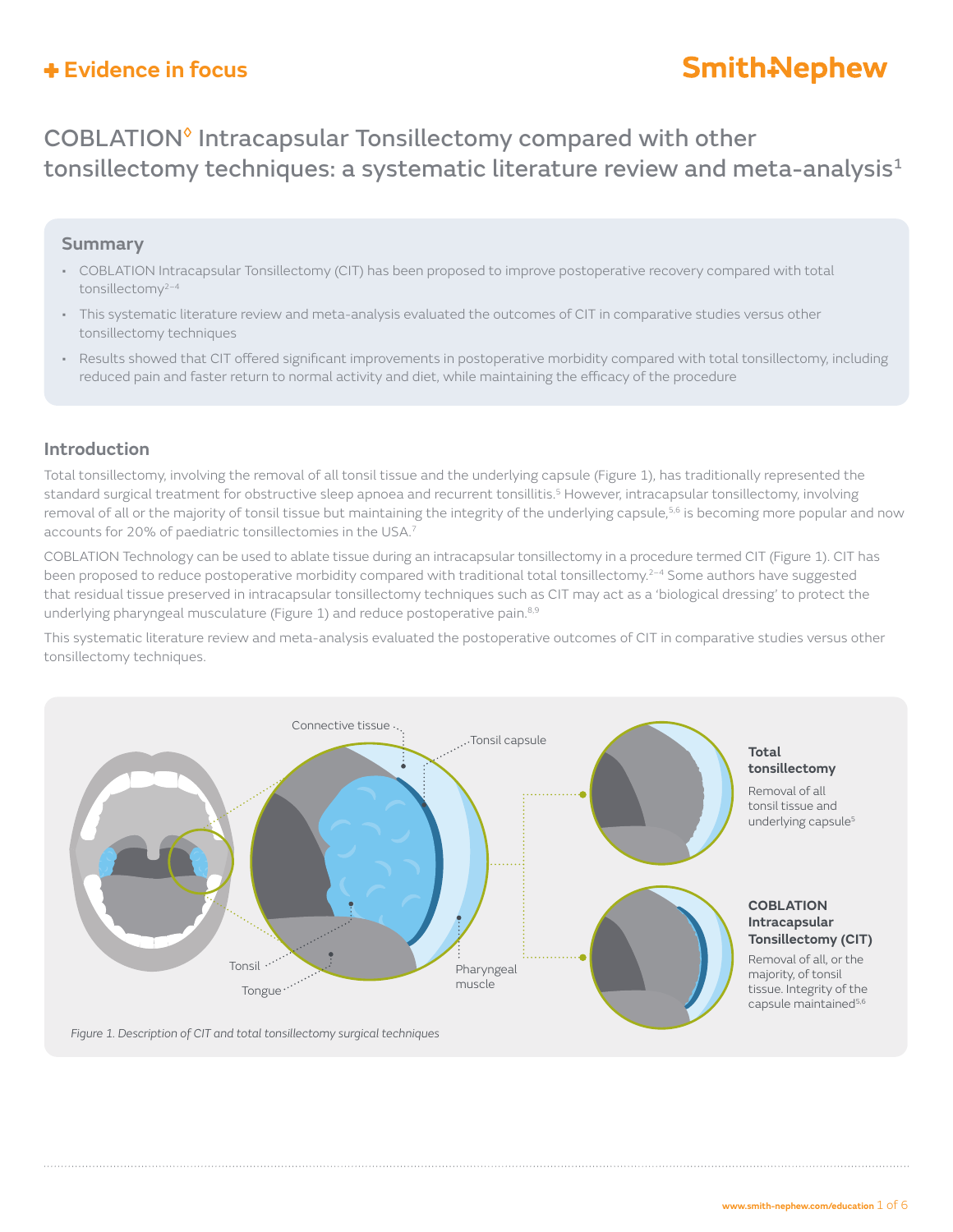# **Smith-Nephew**

## COBLATION◊ Intracapsular Tonsillectomy compared with other tonsillectomy techniques: a systematic literature review and meta-analysis $1$

### **Summary**

- COBLATION Intracapsular Tonsillectomy (CIT) has been proposed to improve postoperative recovery compared with total tonsillectomy2–4
- This systematic literature review and meta-analysis evaluated the outcomes of CIT in comparative studies versus other tonsillectomy techniques
- Results showed that CIT offered significant improvements in postoperative morbidity compared with total tonsillectomy, including reduced pain and faster return to normal activity and diet, while maintaining the efficacy of the procedure

### **Introduction**

Total tonsillectomy, involving the removal of all tonsil tissue and the underlying capsule (Figure 1), has traditionally represented the standard surgical treatment for obstructive sleep apnoea and recurrent tonsillitis.<sup>5</sup> However, intracapsular tonsillectomy, involving removal of all or the majority of tonsil tissue but maintaining the integrity of the underlying capsule,<sup>5,6</sup> is becoming more popular and now accounts for 20% of paediatric tonsillectomies in the USA.7

COBLATION Technology can be used to ablate tissue during an intracapsular tonsillectomy in a procedure termed CIT (Figure 1). CIT has been proposed to reduce postoperative morbidity compared with traditional total tonsillectomy.<sup>2–4</sup> Some authors have suggested that residual tissue preserved in intracapsular tonsillectomy techniques such as CIT may act as a 'biological dressing' to protect the underlying pharyngeal musculature (Figure 1) and reduce postoperative pain.<sup>8,9</sup>

This systematic literature review and meta-analysis evaluated the postoperative outcomes of CIT in comparative studies versus other tonsillectomy techniques.

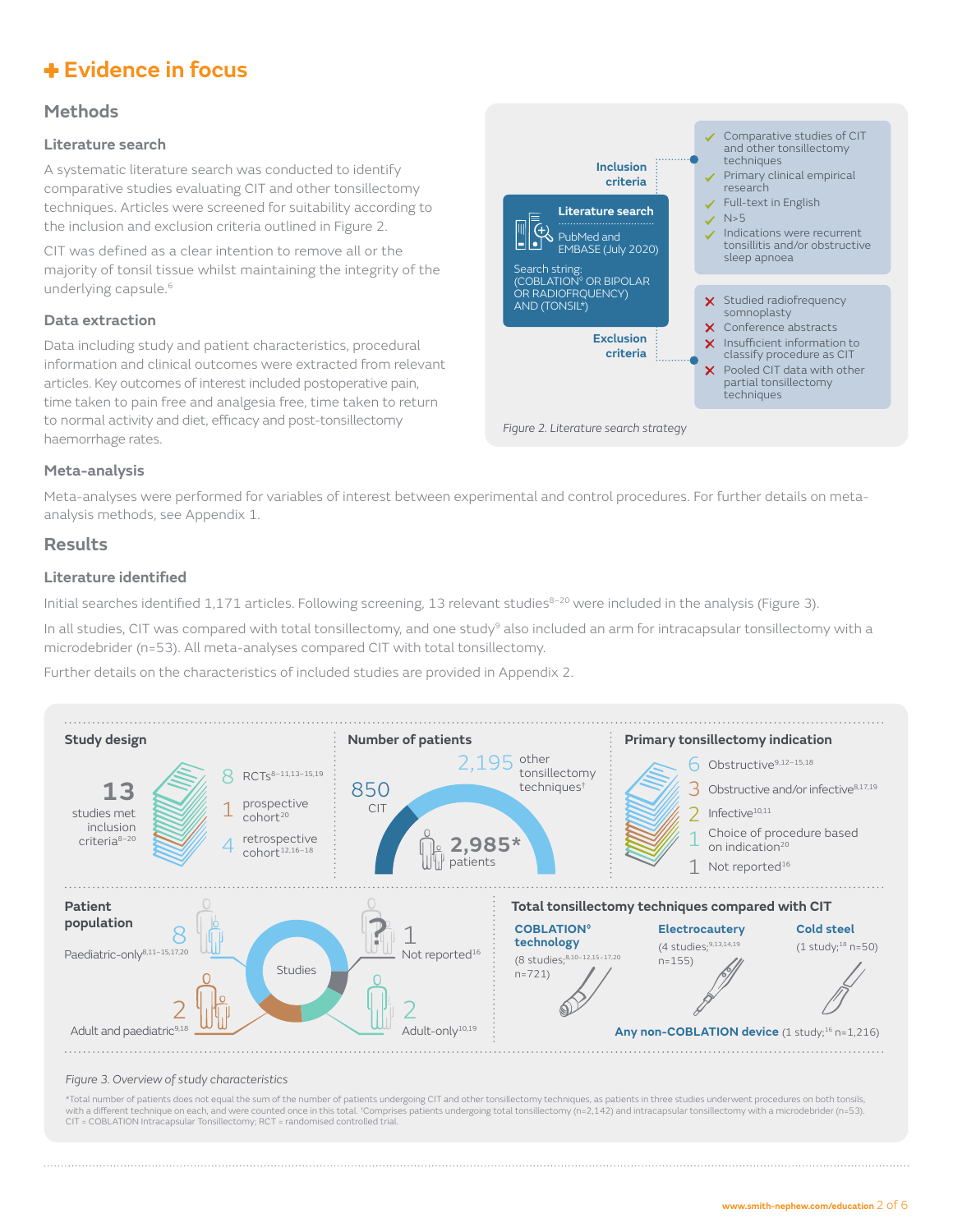### **Methods**

#### **Literature search**

A systematic literature search was conducted to identify comparative studies evaluating CIT and other tonsillectomy techniques. Articles were screened for suitability according to the inclusion and exclusion criteria outlined in Figure 2.

CIT was defined as a clear intention to remove all or the majority of tonsil tissue whilst maintaining the integrity of the underlying capsule.<sup>6</sup>

#### **Data extraction**

Data including study and patient characteristics, procedural information and clinical outcomes were extracted from relevant articles. Key outcomes of interest included postoperative pain, time taken to pain free and analgesia free, time taken to return to normal activity and diet, efficacy and post-tonsillectomy haemorrhage rates.



#### **Meta-analysis**

Meta-analyses were performed for variables of interest between experimental and control procedures. For further details on metaanalysis methods, see Appendix 1.

#### **Results**

#### **Literature identified**

Initial searches identified 1,171 articles. Following screening, 13 relevant studies<sup>8–20</sup> were included in the analysis (Figure 3).

In all studies, CIT was compared with total tonsillectomy, and one study<sup>9</sup> also included an arm for intracapsular tonsillectomy with a microdebrider (n=53). All meta-analyses compared CIT with total tonsillectomy.

Further details on the characteristics of included studies are provided in Appendix 2.



#### *Figure 3. Overview of study characteristics*

\*Total number of patients does not equal the sum of the number of patients undergoing CIT and other tonsillectomy techniques, as patients in three studies underwent procedures on both tonsils, with a different technique on each, and were counted once in this total. †Comprises patients undergoing total tonsillectomy (n=2,142) and intracapsular tonsillectomy with a microdebrider (n=53).<br>CIT = COBLATION Intracapsul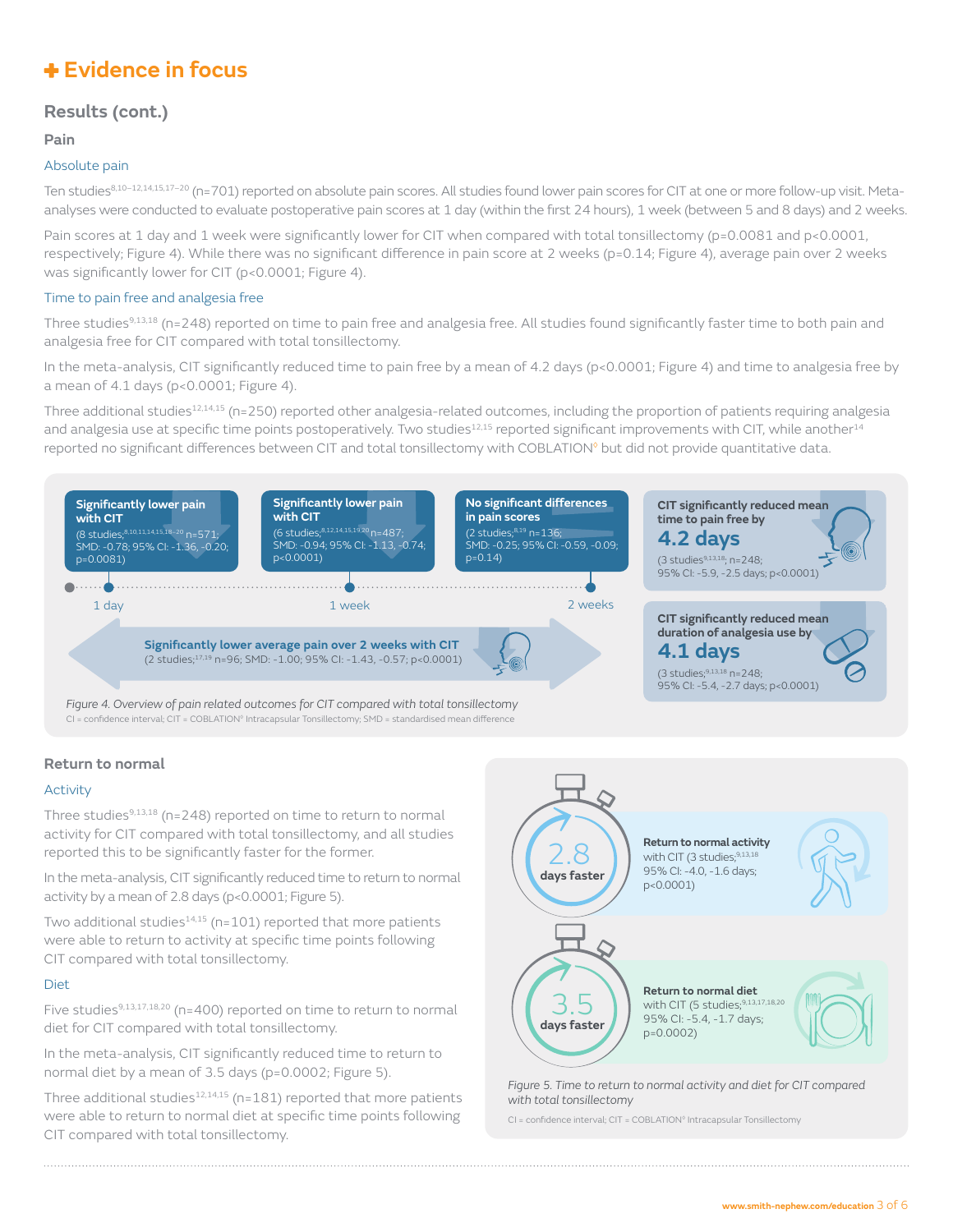### **Results (cont.)**

#### **Pain**

#### Absolute pain

Ten studies<sup>8,10–12,14,15,17–20</sup> (n=701) reported on absolute pain scores. All studies found lower pain scores for CIT at one or more follow-up visit. Metaanalyses were conducted to evaluate postoperative pain scores at 1 day (within the first 24 hours), 1 week (between 5 and 8 days) and 2 weeks.

Pain scores at 1 day and 1 week were significantly lower for CIT when compared with total tonsillectomy (p=0.0081 and p<0.0001, respectively; Figure 4). While there was no significant difference in pain score at 2 weeks (p=0.14; Figure 4), average pain over 2 weeks was significantly lower for CIT (p<0.0001; Figure 4).

#### Time to pain free and analgesia free

Three studies<sup>9,13,18</sup> (n=248) reported on time to pain free and analgesia free. All studies found significantly faster time to both pain and analgesia free for CIT compared with total tonsillectomy.

In the meta-analysis, CIT significantly reduced time to pain free by a mean of 4.2 days (p<0.0001; Figure 4) and time to analgesia free by a mean of 4.1 days (p<0.0001; Figure 4).

Three additional studies<sup>12,14,15</sup> (n=250) reported other analgesia-related outcomes, including the proportion of patients requiring analgesia and analgesia use at specific time points postoperatively. Two studies<sup>12,15</sup> reported significant improvements with CIT, while another<sup>14</sup> reported no significant differences between CIT and total tonsillectomy with COBLATION◊ but did not provide quantitative data.



CI = confidence interval; CIT = COBLATION<sup>®</sup> Intracapsular Tonsillectomy; SMD = standardised mean difference

#### **Return to normal**

#### Activity

Three studies<sup>9,13,18</sup> (n=248) reported on time to return to normal activity for CIT compared with total tonsillectomy, and all studies reported this to be significantly faster for the former.

In the meta-analysis, CIT significantly reduced time to return to normal activity by a mean of 2.8 days (p<0.0001; Figure 5).

Two additional studies $14,15$  (n=101) reported that more patients were able to return to activity at specific time points following CIT compared with total tonsillectomy.

#### **Diet**

Five studies<sup>9,13,17,18,20</sup> (n=400) reported on time to return to normal diet for CIT compared with total tonsillectomy.

In the meta-analysis, CIT significantly reduced time to return to normal diet by a mean of 3.5 days (p=0.0002; Figure 5).

Three additional studies $12,14,15$  (n=181) reported that more patients were able to return to normal diet at specific time points following CIT compared with total tonsillectomy.



*Figure 5. Time to return to normal activity and diet for CIT compared with total tonsillectomy*

CI = confidence interval; CIT = COBLATION◊ Intracapsular Tonsillectomy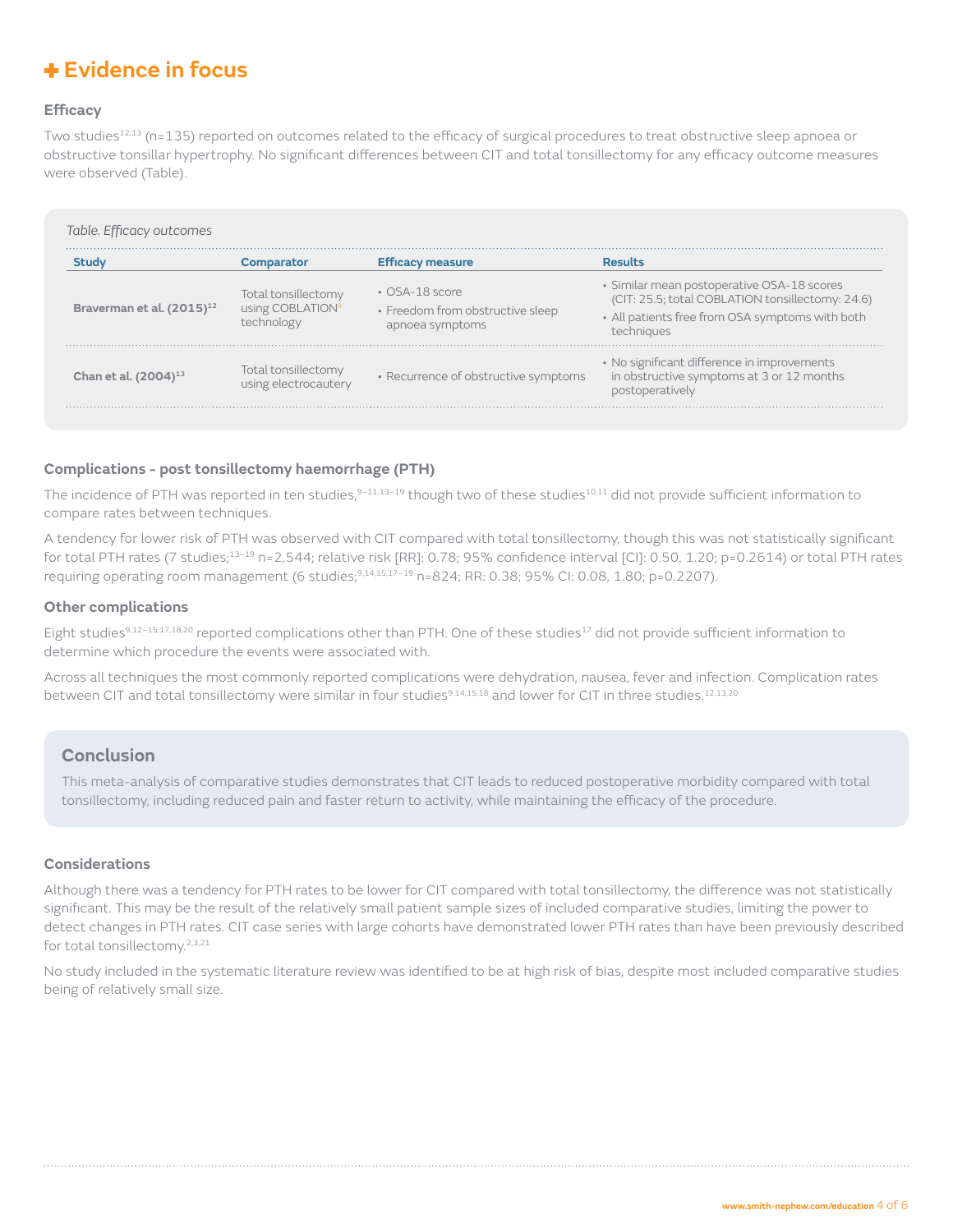#### **Efficacy**

Two studies<sup>12,13</sup> (n=135) reported on outcomes related to the efficacy of surgical procedures to treat obstructive sleep apnoea or obstructive tonsillar hypertrophy. No significant differences between CIT and total tonsillectomy for any efficacy outcome measures were observed (Table).

|                                       | Comparator                                            | <b>Efficacy measure</b>                                                     | <b>Results</b>                                                                                                                                                  |
|---------------------------------------|-------------------------------------------------------|-----------------------------------------------------------------------------|-----------------------------------------------------------------------------------------------------------------------------------------------------------------|
| Braverman et al. (2015) <sup>12</sup> | Total tonsillectomy<br>using COBLATION®<br>technology | $\cdot$ OSA-18 score<br>· Freedom from obstructive sleep<br>apnoea symptoms | • Similar mean postoperative OSA-18 scores<br>(CIT: 25.5; total COBLATION tonsillectomy: 24.6)<br>- All patients free from OSA symptoms with both<br>techniques |
| Chan et al. $(2004)^{13}$             | Total tonsillectomy<br>using electrocautery           | • Recurrence of obstructive symptoms                                        | • No significant difference in improvements<br>in obstructive symptoms at 3 or 12 months<br>postoperatively                                                     |

#### **Complications - post tonsillectomy haemorrhage (PTH)**

The incidence of PTH was reported in ten studies,<sup>9-11,13-19</sup> though two of these studies<sup>10,11</sup> did not provide sufficient information to compare rates between techniques.

A tendency for lower risk of PTH was observed with CIT compared with total tonsillectomy, though this was not statistically significant for total PTH rates (7 studies;<sup>13-19</sup> n=2,544; relative risk [RR]: 0.78; 95% confidence interval [CI]: 0.50, 1.20; p=0.2614) or total PTH rates requiring operating room management (6 studies;<sup>9,14,15,17-19</sup> n=824; RR: 0.38; 95% CI: 0.08, 1.80; p=0.2207).

#### **Other complications**

Eight studies<sup>9,12-15,17,18,20</sup> reported complications other than PTH. One of these studies<sup>17</sup> did not provide sufficient information to determine which procedure the events were associated with.

Across all techniques the most commonly reported complications were dehydration, nausea, fever and infection. Complication rates between CIT and total tonsillectomy were similar in four studies<sup>9,14,15,18</sup> and lower for CIT in three studies.<sup>12,13,20</sup>

### **Conclusion**

This meta-analysis of comparative studies demonstrates that CIT leads to reduced postoperative morbidity compared with total tonsillectomy, including reduced pain and faster return to activity, while maintaining the efficacy of the procedure.

#### **Considerations**

Although there was a tendency for PTH rates to be lower for CIT compared with total tonsillectomy, the difference was not statistically significant. This may be the result of the relatively small patient sample sizes of included comparative studies, limiting the power to detect changes in PTH rates. CIT case series with large cohorts have demonstrated lower PTH rates than have been previously described for total tonsillectomy.2,3,21

No study included in the systematic literature review was identified to be at high risk of bias, despite most included comparative studies being of relatively small size.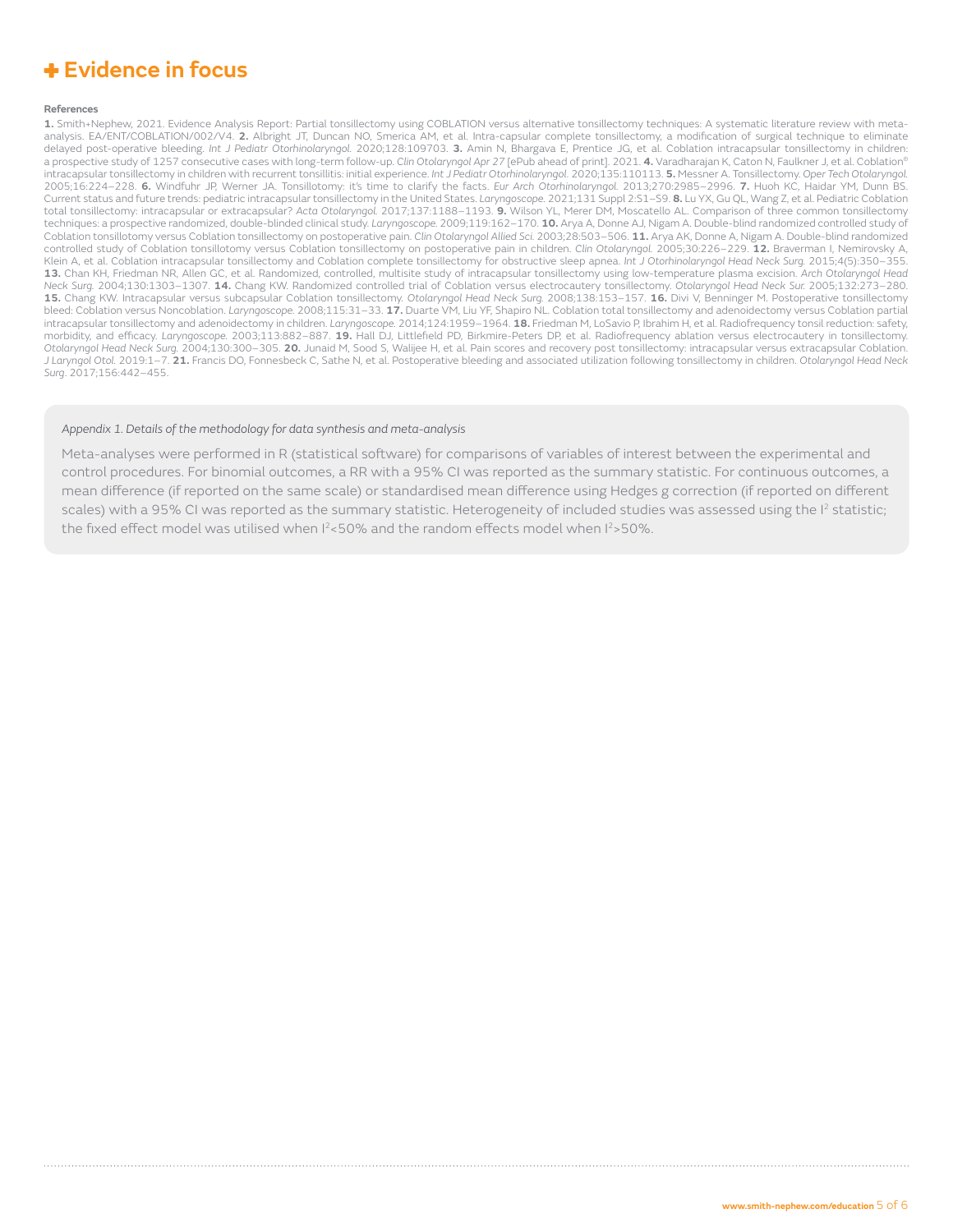#### **References**

**1.** Smith+Nephew, 2021. Evidence Analysis Report: Partial tonsillectomy using COBLATION versus alternative tonsillectomy techniques: A systematic literature review with metaanalysis. EA/ENT/COBLATION/002/V4. **2.** Albright JT, Duncan NO, Smerica AM, et al. Intra-capsular complete tonsillectomy, a modification of surgical technique to eliminate delayed post-operative bleeding. *Int J Pediatr Otorhinolaryngol.* 2020;128:109703. **3.** Amin N, Bhargava E, Prentice JG, et al. Coblation intracapsular tonsillectomy in children: a prospective study of 1257 consecutive cases with long-term follow-up. *Clin Otolaryngol Apr 27* [ePub ahead of print]. 2021. **4.** Varadharajan K, Caton N, Faulkner J, et al. Coblation® intracapsular tonsillectomy in children with recurrent tonsillitis: initial experience. *Int J Pediatr Otorhinolaryngol*. 2020;135:110113. **5.** Messner A. Tonsillectomy. *Oper Tech Otolaryngol.* 2005;16:224–228. **6.** Windfuhr JP, Werner JA. Tonsillotomy: it's time to clarify the facts. *Eur Arch Otorhinolaryngol.* 2013;270:2985–2996. **7.** Huoh KC, Haidar YM, Dunn BS. Current status and future trends: pediatric intracapsular tonsillectomy in the United States. *Laryngoscope.* 2021;131 Suppl 2:S1–S9. **8.** Lu YX, Gu QL, Wang Z, et al. Pediatric Coblation total tonsillectomy: intracapsular or extracapsular? *Acta Otolaryngol.* 2017;137:1188–1193. **9.** Wilson YL, Merer DM, Moscatello AL. Comparison of three common tonsillectomy techniques: a prospective randomized, double-blinded clinical study. *Laryngoscope.* 2009;119:162–170. **10.** Arya A, Donne AJ, Nigam A. Double-blind randomized controlled study of Coblation tonsillotomy versus Coblation tonsillectomy on postoperative pain. *Clin Otolaryngol Allied Sci.* 2003;28:503–506. **11.** Arya AK, Donne A, Nigam A. Double-blind randomized controlled study of Coblation tonsillotomy versus Coblation tonsillectomy on postoperative pain in children. *Clin Otolaryngol.* 2005;30:226–229. **12.** Braverman I, Nemirovsky A, Klein A, et al. Coblation intracapsular tonsillectomy and Coblation complete tonsillectomy for obstructive sleep apnea. *Int J Otorhinolaryngol Head Neck Surg.* 2015;4(5):350–355. **13.** Chan KH, Friedman NR, Allen GC, et al. Randomized, controlled, multisite study of intracapsular tonsillectomy using low-temperature plasma excision. *Arch Otolaryngol Head Neck Surg.* 2004;130:1303–1307. **14.** Chang KW. Randomized controlled trial of Coblation versus electrocautery tonsillectomy. *Otolaryngol Head Neck Sur.* 2005;132:273–280. **15.** Chang KW. Intracapsular versus subcapsular Coblation tonsillectomy. *Otolaryngol Head Neck Surg.* 2008;138:153–157. **16.** Divi V, Benninger M. Postoperative tonsillectomy bleed: Coblation versus Noncoblation. *Laryngoscope.* 2008;115:31–33. **17.** Duarte VM, Liu YF, Shapiro NL. Coblation total tonsillectomy and adenoidectomy versus Coblation partial intracapsular tonsillectomy and adenoidectomy in children. *Laryngoscope.* 2014;124:1959–1964. **18.** Friedman M, LoSavio P, Ibrahim H, et al. Radiofrequency tonsil reduction: safety, morbidity, and efficacy. *Laryngoscope.* 2003;113:882–887. **19.** Hall DJ, Littlefield PD, Birkmire-Peters DP, et al. Radiofrequency ablation versus electrocautery in tonsillectomy. *Otolaryngol Head Neck Surg.* 2004;130:300–305. **20.** Junaid M, Sood S, Walijee H, et al. Pain scores and recovery post tonsillectomy: intracapsular versus extracapsular Coblation. *J Laryngol Otol.* 2019:1–7. **21.** Francis DO, Fonnesbeck C, Sathe N, et al. Postoperative bleeding and associated utilization following tonsillectomy in children. *Otolaryngol Head Neck Surg*. 2017;156:442–455.

#### *Appendix 1. Details of the methodology for data synthesis and meta-analysis*

Meta-analyses were performed in R (statistical software) for comparisons of variables of interest between the experimental and control procedures. For binomial outcomes, a RR with a 95% CI was reported as the summary statistic. For continuous outcomes, a mean difference (if reported on the same scale) or standardised mean difference using Hedges g correction (if reported on different scales) with a 95% CI was reported as the summary statistic. Heterogeneity of included studies was assessed using the I<sup>2</sup> statistic; the fixed effect model was utilised when  $12$ <50% and the random effects model when  $12$ >50%.